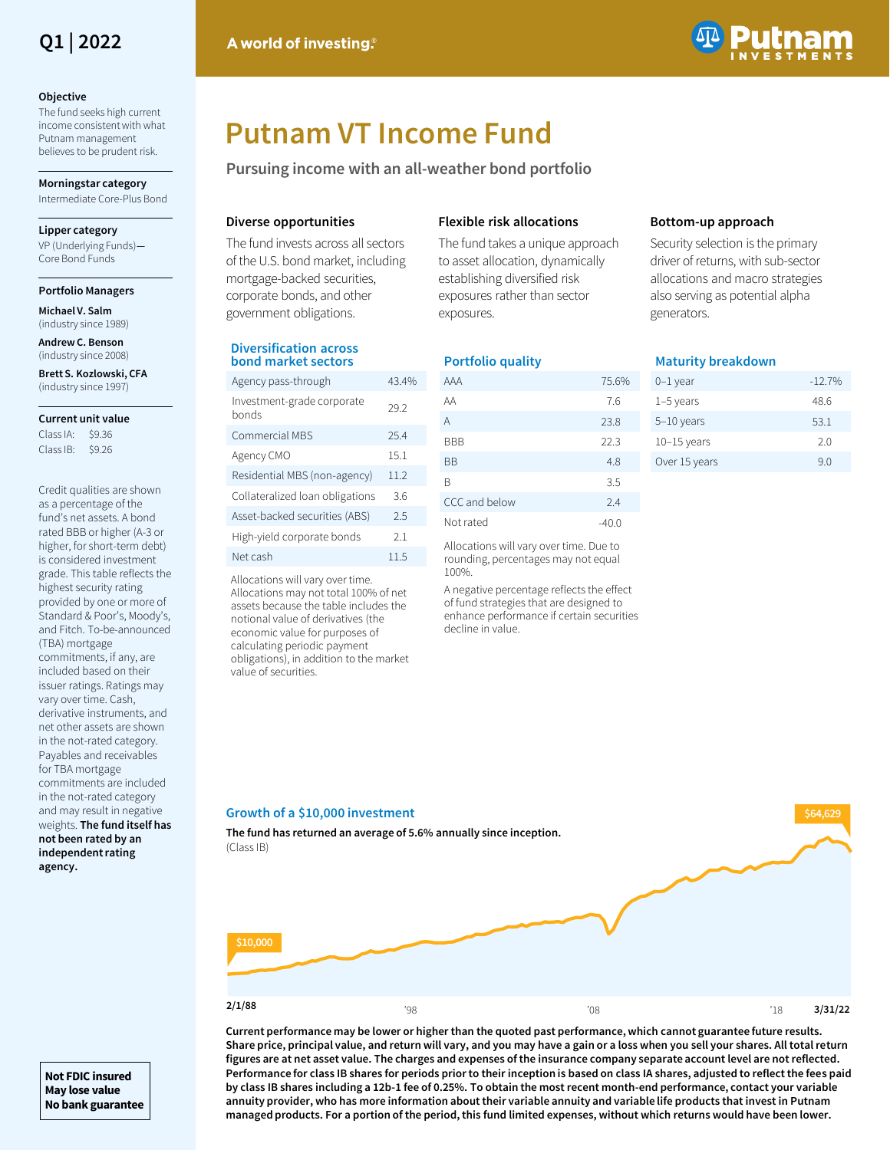

### **Objective**

The fund seeks high current income consistent with what Putnam management believes to be prudent risk.

**Morningstar category** 

Intermediate Core-Plus Bond

### **Lipper category**

VP (Underlying Funds)— Core Bond Funds

### **Portfolio Managers**

**Michael V. Salm**  (industry since 1989)

**Andrew C. Benson** (industry since 2008)

**Brett S. Kozlowski, CFA**  (industry since 1997)

### **Current unit value**

Class IA: \$9.36 Class IB: \$9.26

Credit qualities are shown as a percentage of the fund's net assets. A bond rated BBB or higher (A-3 or higher, for short-term debt) is considered investment grade. This table reflects the highest security rating provided by one or more of Standard & Poor's, Moody's, and Fitch. To-be-announced (TBA) mortgage commitments, if any, are included based on their issuer ratings. Ratings may vary over time. Cash, derivative instruments, and net other assets are shown in the not-rated category. Payables and receivables for TBA mortgage commitments are included in the not-rated category and may result in negative weights. **The fund itself has not been rated by an independent rating agency.** 



# **Putnam VT Income Fund**

**Pursuing income with an all-weather bond portfolio**

## **Diverse opportunities**

The fund invests across all sectors of the U.S. bond market, including mortgage-backed securities, corporate bonds, and other government obligations.

## **Diversification across bond market sectors**

| Agency pass-through                 | 43.4% |
|-------------------------------------|-------|
| Investment-grade corporate<br>honds | 29.2  |
| Commercial MBS                      | 254   |
| Agency CMO                          | 15.1  |
| Residential MBS (non-agency)        | 11.2  |
| Collateralized loan obligations     | 36    |
| Asset-backed securities (ABS)       | 2.5   |
| High-yield corporate bonds          | 21    |
| Net cash                            | 11.5  |
|                                     |       |

Allocations will vary over time. Allocations may not total 100% of net assets because the table includes the notional value of derivatives (the economic value for purposes of calculating periodic payment obligations), in addition to the market value of securities.

### **Flexible risk allocations**

The fund takes a unique approach to asset allocation, dynamically establishing diversified risk exposures rather than sector exposures.

## **Portfolio quality**

| AAA           | 75.6% |
|---------------|-------|
| AA            | 7.6   |
| A             | 23.8  |
| BBB           | 22.3  |
| <b>BB</b>     | 4.8   |
| B             | 3.5   |
| CCC and below | 2.4   |
| Not rated     | -40.0 |

Allocations will vary over time. Due to rounding, percentages may not equal 100%.

A negative percentage reflects the effect of fund strategies that are designed to enhance performance if certain securities decline in value.

## **Bottom-up approach**

Security selection is the primary driver of returns, with sub-sector allocations and macro strategies also serving as potential alpha generators.

### **Maturity breakdown**

| 0-1 year      | $-12.7%$ |
|---------------|----------|
| $1-5$ years   | 48.6     |
| $5-10$ years  | 53.1     |
| $10-15$ years | 20       |
| Over 15 years | 90       |
|               |          |

## $\frac{2}{18}$   $\frac{1}{8}$   $\frac{1}{8}$   $\frac{1}{8}$   $\frac{1}{8}$   $\frac{1}{8}$   $\frac{1}{8}$   $\frac{1}{8}$   $\frac{1}{8}$   $\frac{1}{8}$   $\frac{1}{8}$   $\frac{1}{8}$   $\frac{1}{8}$   $\frac{1}{8}$   $\frac{1}{8}$   $\frac{1}{8}$   $\frac{1}{8}$   $\frac{1}{8}$   $\frac{1}{8}$   $\frac{1}{8}$   $\frac{1}{8}$   $\frac{1}{8}$  **Growth of a \$10,000 investment The fund has returned an average of 5.6% annually since inception.** (Class IB) **3/31/22 \$64,629 \$10,000 2/1/88**

**Current performance may be lower or higher than the quoted past performance, which cannot guarantee future results. Share price, principal value, and return will vary, and you may have a gain or a loss when you sell your shares. All total return figures are at net asset value. The charges and expenses of the insurance company separate account level are not reflected. Performance for class IB shares for periods prior to their inception is based on class IA shares, adjusted to reflect the fees paid by class IB shares including a 12b-1 fee of 0.25%. To obtain the most recent month-end performance, contact your variable annuity provider, who has more information about their variable annuity and variable life products that invest in Putnam managed products. For a portion of the period, this fund limited expenses, without which returns would have been lower.**

**Not FDIC insured May lose value No bank guarantee**